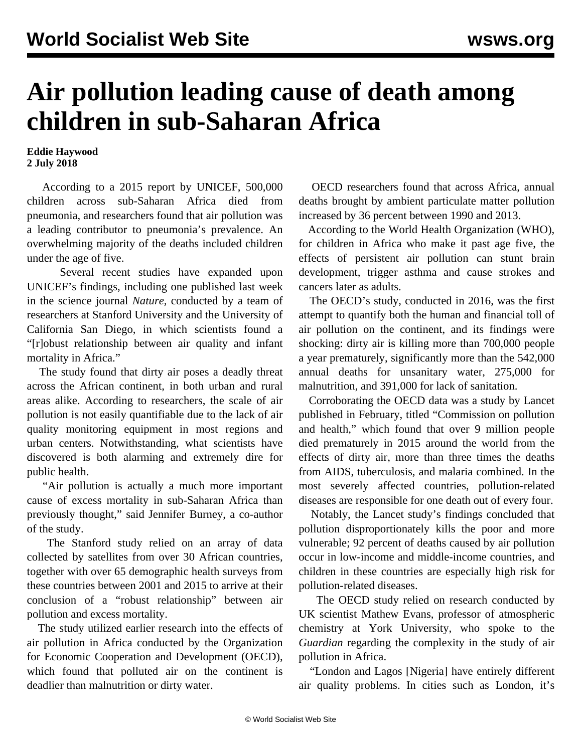## **Air pollution leading cause of death among children in sub-Saharan Africa**

## **Eddie Haywood 2 July 2018**

 According to a 2015 report by UNICEF, 500,000 children across sub-Saharan Africa died from pneumonia, and researchers found that air pollution was a leading contributor to pneumonia's prevalence. An overwhelming majority of the deaths included children under the age of five.

 Several recent studies have expanded upon UNICEF's findings, including one published last week in the science journal *Nature,* conducted by a team of researchers at Stanford University and the University of California San Diego, in which scientists found a "[r]obust relationship between air quality and infant mortality in Africa."

 The study found that dirty air poses a deadly threat across the African continent, in both urban and rural areas alike. According to researchers, the scale of air pollution is not easily quantifiable due to the lack of air quality monitoring equipment in most regions and urban centers. Notwithstanding, what scientists have discovered is both alarming and extremely dire for public health.

 "Air pollution is actually a much more important cause of excess mortality in sub-Saharan Africa than previously thought," said Jennifer Burney, a co-author of the study.

 The Stanford study relied on an array of data collected by satellites from over 30 African countries, together with over 65 demographic health surveys from these countries between 2001 and 2015 to arrive at their conclusion of a "robust relationship" between air pollution and excess mortality.

 The study utilized earlier research into the effects of air pollution in Africa conducted by the Organization for Economic Cooperation and Development (OECD), which found that polluted air on the continent is deadlier than malnutrition or dirty water.

 OECD researchers found that across Africa, annual deaths brought by ambient particulate matter pollution increased by 36 percent between 1990 and 2013.

 According to the World Health Organization (WHO), for children in Africa who make it past age five, the effects of persistent air pollution can stunt brain development, trigger asthma and cause strokes and cancers later as adults.

 The OECD's study, conducted in 2016, was the first attempt to quantify both the human and financial toll of air pollution on the continent, and its findings were shocking: dirty air is killing more than 700,000 people a year prematurely, significantly more than the 542,000 annual deaths for unsanitary water, 275,000 for malnutrition, and 391,000 for lack of sanitation.

 Corroborating the OECD data was a study by Lancet published in February, titled "Commission on pollution and health," which found that over 9 million people died prematurely in 2015 around the world from the effects of dirty air, more than three times the deaths from AIDS, tuberculosis, and malaria combined. In the most severely affected countries, pollution-related diseases are responsible for one death out of every four.

 Notably, the Lancet study's findings concluded that pollution disproportionately kills the poor and more vulnerable; 92 percent of deaths caused by air pollution occur in low-income and middle-income countries, and children in these countries are especially high risk for pollution-related diseases.

 The OECD study relied on research conducted by UK scientist Mathew Evans, professor of atmospheric chemistry at York University, who spoke to the *Guardian* regarding the complexity in the study of air pollution in Africa.

 "London and Lagos [Nigeria] have entirely different air quality problems. In cities such as London, it's